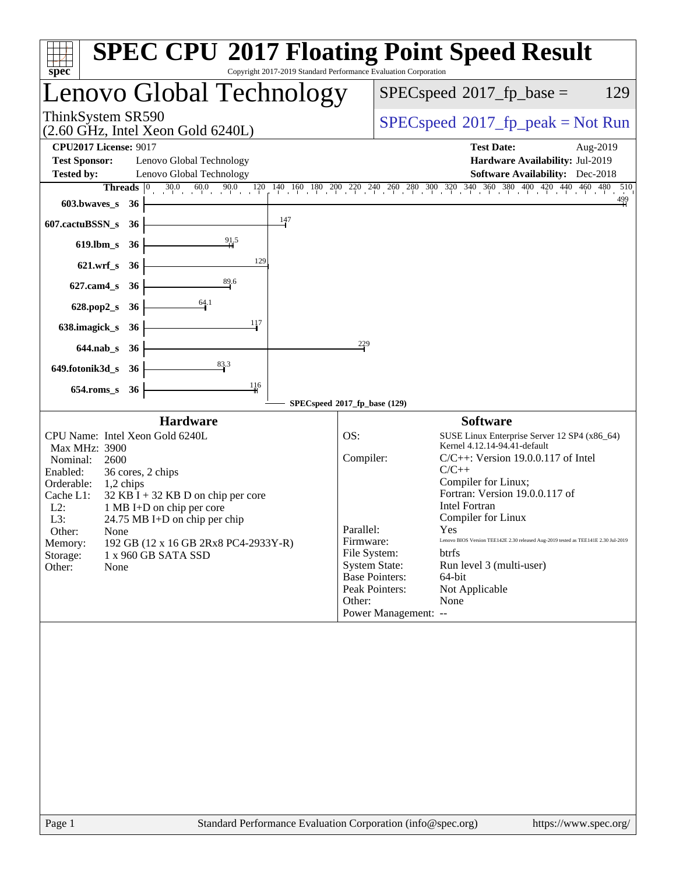| <b>SPEC CPU®2017 Floating Point Speed Result</b><br>Copyright 2017-2019 Standard Performance Evaluation Corporation<br>$spec^*$                                                                                                                                                                                                                                                                                                                     |                                                                                                                                                                                                                                                                                                                                                                                                                                                                                                                                       |
|-----------------------------------------------------------------------------------------------------------------------------------------------------------------------------------------------------------------------------------------------------------------------------------------------------------------------------------------------------------------------------------------------------------------------------------------------------|---------------------------------------------------------------------------------------------------------------------------------------------------------------------------------------------------------------------------------------------------------------------------------------------------------------------------------------------------------------------------------------------------------------------------------------------------------------------------------------------------------------------------------------|
| Lenovo Global Technology                                                                                                                                                                                                                                                                                                                                                                                                                            | $SPEC speed^{\circ}2017$ _fp_base =<br>129                                                                                                                                                                                                                                                                                                                                                                                                                                                                                            |
| ThinkSystem SR590<br>$(2.60 \text{ GHz}, \text{Intel Xeon Gold } 6240L)$                                                                                                                                                                                                                                                                                                                                                                            | $SPEC speed^{\circ}2017\_fp\_peak = Not Run$                                                                                                                                                                                                                                                                                                                                                                                                                                                                                          |
| <b>CPU2017 License: 9017</b><br><b>Test Sponsor:</b><br>Lenovo Global Technology<br><b>Tested by:</b><br>Lenovo Global Technology                                                                                                                                                                                                                                                                                                                   | <b>Test Date:</b><br>Aug-2019<br>Hardware Availability: Jul-2019<br><b>Software Availability:</b> Dec-2018                                                                                                                                                                                                                                                                                                                                                                                                                            |
| Threads<br>603.bwaves_s<br>- 36                                                                                                                                                                                                                                                                                                                                                                                                                     | $\boxed{0 \qquad 30.0 \qquad 60.0 \qquad 90.0 \qquad 120 \qquad 140 \qquad 160 \qquad 180 \qquad 200 \qquad 220 \qquad 240 \qquad 260 \qquad 280 \qquad 300 \qquad 320 \qquad 340 \qquad 360 \qquad 380 \qquad 400 \qquad 420 \qquad 440 \qquad 460 \qquad 480 \qquad 480 \qquad 400 \qquad 500 \qquad 520 \qquad 540 \qquad 560 \qquad 560 \qquad 560 \qquad$<br>510<br>$\frac{499}{4}$                                                                                                                                              |
| 147<br>607.cactuBSSN_s<br>36                                                                                                                                                                                                                                                                                                                                                                                                                        |                                                                                                                                                                                                                                                                                                                                                                                                                                                                                                                                       |
| $619$ .lbm_s<br>36                                                                                                                                                                                                                                                                                                                                                                                                                                  |                                                                                                                                                                                                                                                                                                                                                                                                                                                                                                                                       |
| 129<br>$621.wrf$ <sub>S</sub><br>- 36                                                                                                                                                                                                                                                                                                                                                                                                               |                                                                                                                                                                                                                                                                                                                                                                                                                                                                                                                                       |
| 89.6<br>627.cam4_s<br>36                                                                                                                                                                                                                                                                                                                                                                                                                            |                                                                                                                                                                                                                                                                                                                                                                                                                                                                                                                                       |
| 64.1<br>628.pop2_s<br>- 36                                                                                                                                                                                                                                                                                                                                                                                                                          |                                                                                                                                                                                                                                                                                                                                                                                                                                                                                                                                       |
| 117<br>638.imagick_s<br>36                                                                                                                                                                                                                                                                                                                                                                                                                          |                                                                                                                                                                                                                                                                                                                                                                                                                                                                                                                                       |
| 229<br>$644$ .nab_s<br>36                                                                                                                                                                                                                                                                                                                                                                                                                           |                                                                                                                                                                                                                                                                                                                                                                                                                                                                                                                                       |
| 83.3<br>649.fotonik3d_s<br>-36                                                                                                                                                                                                                                                                                                                                                                                                                      |                                                                                                                                                                                                                                                                                                                                                                                                                                                                                                                                       |
| 116<br>$654$ .roms_s<br>36                                                                                                                                                                                                                                                                                                                                                                                                                          |                                                                                                                                                                                                                                                                                                                                                                                                                                                                                                                                       |
| SPECspeed®2017_fp_base (129)<br><b>Hardware</b>                                                                                                                                                                                                                                                                                                                                                                                                     | <b>Software</b>                                                                                                                                                                                                                                                                                                                                                                                                                                                                                                                       |
| CPU Name: Intel Xeon Gold 6240L<br>OS:<br>Max MHz: 3900<br>Compiler:<br>Nominal:<br>2600<br>Enabled:<br>36 cores, 2 chips<br>Orderable:<br>1,2 chips<br>Cache L1:<br>$32$ KB I + 32 KB D on chip per core<br>$L2$ :<br>1 MB I+D on chip per core<br>L3:<br>$24.75 \text{ MB I+D}$ on chip per chip<br>Parallel:<br>Other:<br>None<br>192 GB (12 x 16 GB 2Rx8 PC4-2933Y-R)<br>Memory:<br>Storage:<br>1 x 960 GB SATA SSD<br>Other:<br>None<br>Other: | SUSE Linux Enterprise Server 12 SP4 (x86_64)<br>Kernel 4.12.14-94.41-default<br>$C/C++$ : Version 19.0.0.117 of Intel<br>$C/C++$<br>Compiler for Linux;<br>Fortran: Version 19.0.0.117 of<br><b>Intel Fortran</b><br>Compiler for Linux<br>Yes<br>Firmware:<br>Lenovo BIOS Version TEE142E 2.30 released Aug-2019 tested as TEE141E 2.30 Jul-2019<br>File System:<br>btrfs<br><b>System State:</b><br>Run level 3 (multi-user)<br><b>Base Pointers:</b><br>64-bit<br>Peak Pointers:<br>Not Applicable<br>None<br>Power Management: -- |
| Standard Performance Evaluation Corporation (info@spec.org)<br>Page 1                                                                                                                                                                                                                                                                                                                                                                               | https://www.spec.org/                                                                                                                                                                                                                                                                                                                                                                                                                                                                                                                 |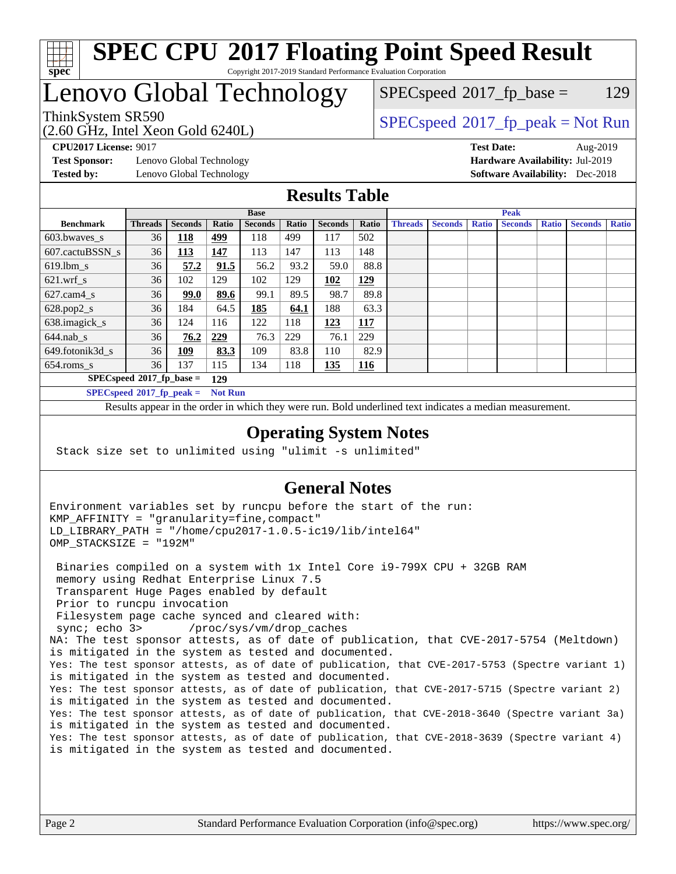

#### **[SPEC CPU](http://www.spec.org/auto/cpu2017/Docs/result-fields.html#SPECCPU2017FloatingPointSpeedResult)[2017 Floating Point Speed Result](http://www.spec.org/auto/cpu2017/Docs/result-fields.html#SPECCPU2017FloatingPointSpeedResult)** Copyright 2017-2019 Standard Performance Evaluation Corporation

# Lenovo Global Technology

(2.60 GHz, Intel Xeon Gold 6240L)

 $SPEC speed^{\circ}2017\_fp\_base = 129$ 

# ThinkSystem SR590<br>  $SPEC speed^{\circ}2017$  [p\_peak = Not Run

**[Test Sponsor:](http://www.spec.org/auto/cpu2017/Docs/result-fields.html#TestSponsor)** Lenovo Global Technology **[Hardware Availability:](http://www.spec.org/auto/cpu2017/Docs/result-fields.html#HardwareAvailability)** Jul-2019 **[Tested by:](http://www.spec.org/auto/cpu2017/Docs/result-fields.html#Testedby)** Lenovo Global Technology **[Software Availability:](http://www.spec.org/auto/cpu2017/Docs/result-fields.html#SoftwareAvailability)** Dec-2018

**[CPU2017 License:](http://www.spec.org/auto/cpu2017/Docs/result-fields.html#CPU2017License)** 9017 **[Test Date:](http://www.spec.org/auto/cpu2017/Docs/result-fields.html#TestDate)** Aug-2019

**[Results Table](http://www.spec.org/auto/cpu2017/Docs/result-fields.html#ResultsTable)**

| <b>Base</b>                        |                |                |                |                | <b>Peak</b> |                |       |                |                |              |                |              |                |              |
|------------------------------------|----------------|----------------|----------------|----------------|-------------|----------------|-------|----------------|----------------|--------------|----------------|--------------|----------------|--------------|
| <b>Benchmark</b>                   | <b>Threads</b> | <b>Seconds</b> | Ratio          | <b>Seconds</b> | Ratio       | <b>Seconds</b> | Ratio | <b>Threads</b> | <b>Seconds</b> | <b>Ratio</b> | <b>Seconds</b> | <b>Ratio</b> | <b>Seconds</b> | <b>Ratio</b> |
| $603.bwaves$ s                     | 36             | 118            | 499            | 118            | 499         | 117            | 502   |                |                |              |                |              |                |              |
| 607.cactuBSSN s                    | 36             | <u>113</u>     | 147            | 113            | 147         | 113            | 148   |                |                |              |                |              |                |              |
| $619.1$ bm s                       | 36             | 57.2           | 91.5           | 56.2           | 93.2        | 59.0           | 88.8  |                |                |              |                |              |                |              |
| $621$ .wrf s                       | 36             | 102            | 129            | 102            | 129         | 102            | 129   |                |                |              |                |              |                |              |
| $627$ .cam4 s                      | 36             | 99.0           | 89.6           | 99.1           | 89.5        | 98.7           | 89.8  |                |                |              |                |              |                |              |
| $628.pop2_s$                       | 36             | 184            | 64.5           | 185            | 64.1        | 188            | 63.3  |                |                |              |                |              |                |              |
| 638.imagick_s                      | 36             | 124            | 116            | 122            | 118         | 123            | 117   |                |                |              |                |              |                |              |
| $644$ .nab s                       | 36             | 76.2           | 229            | 76.3           | 229         | 76.1           | 229   |                |                |              |                |              |                |              |
| 649.fotonik3d s                    | 36             | <u> 109</u>    | 83.3           | 109            | 83.8        | 110            | 82.9  |                |                |              |                |              |                |              |
| $654$ .roms s                      | 36             | 137            | 115            | 134            | 118         | 135            | 116   |                |                |              |                |              |                |              |
| $SPECspeed*2017_fp\_base =$<br>129 |                |                |                |                |             |                |       |                |                |              |                |              |                |              |
| $SPECspeed*2017_fp\_peak =$        |                |                | <b>Not Run</b> |                |             |                |       |                |                |              |                |              |                |              |

Results appear in the [order in which they were run.](http://www.spec.org/auto/cpu2017/Docs/result-fields.html#RunOrder) Bold underlined text [indicates a median measurement](http://www.spec.org/auto/cpu2017/Docs/result-fields.html#Median).

#### **[Operating System Notes](http://www.spec.org/auto/cpu2017/Docs/result-fields.html#OperatingSystemNotes)**

Stack size set to unlimited using "ulimit -s unlimited"

### **[General Notes](http://www.spec.org/auto/cpu2017/Docs/result-fields.html#GeneralNotes)**

Environment variables set by runcpu before the start of the run: KMP\_AFFINITY = "granularity=fine,compact" LD\_LIBRARY\_PATH = "/home/cpu2017-1.0.5-ic19/lib/intel64" OMP\_STACKSIZE = "192M"

 Binaries compiled on a system with 1x Intel Core i9-799X CPU + 32GB RAM memory using Redhat Enterprise Linux 7.5 Transparent Huge Pages enabled by default Prior to runcpu invocation Filesystem page cache synced and cleared with: sync; echo 3> /proc/sys/vm/drop\_caches NA: The test sponsor attests, as of date of publication, that CVE-2017-5754 (Meltdown) is mitigated in the system as tested and documented. Yes: The test sponsor attests, as of date of publication, that CVE-2017-5753 (Spectre variant 1) is mitigated in the system as tested and documented. Yes: The test sponsor attests, as of date of publication, that CVE-2017-5715 (Spectre variant 2) is mitigated in the system as tested and documented. Yes: The test sponsor attests, as of date of publication, that CVE-2018-3640 (Spectre variant 3a) is mitigated in the system as tested and documented. Yes: The test sponsor attests, as of date of publication, that CVE-2018-3639 (Spectre variant 4) is mitigated in the system as tested and documented.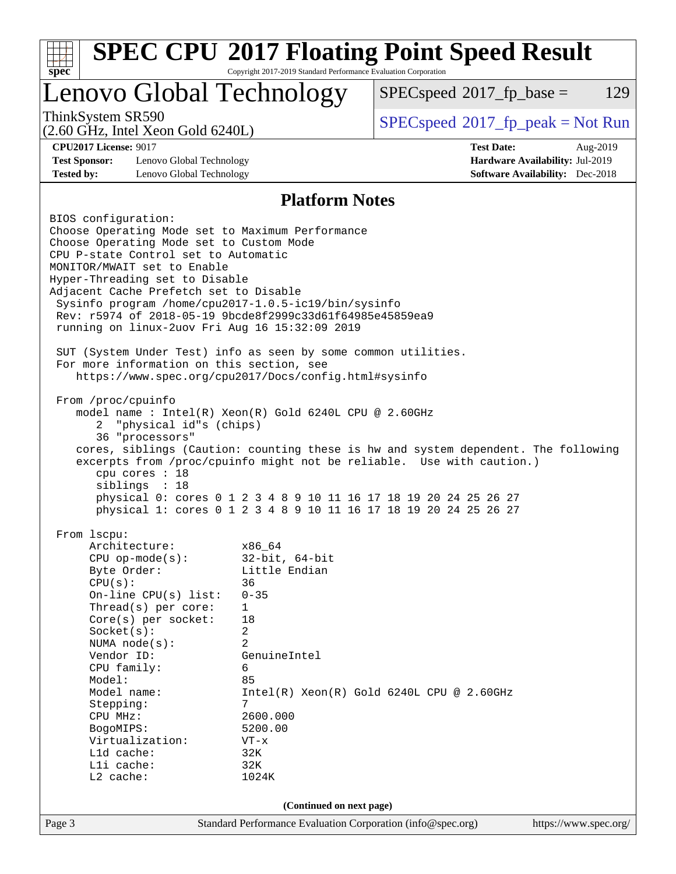| <b>SPEC CPU®2017 Floating Point Speed Result</b><br>Copyright 2017-2019 Standard Performance Evaluation Corporation                                                                                                                                                                                                                                                                                                                                                                                                                                                                                                                                                                                                                                                 |                                                                                                                                                                                               |                                                                                                                                                                                                                                                                                                     |                                                                                       |     |  |  |  |
|---------------------------------------------------------------------------------------------------------------------------------------------------------------------------------------------------------------------------------------------------------------------------------------------------------------------------------------------------------------------------------------------------------------------------------------------------------------------------------------------------------------------------------------------------------------------------------------------------------------------------------------------------------------------------------------------------------------------------------------------------------------------|-----------------------------------------------------------------------------------------------------------------------------------------------------------------------------------------------|-----------------------------------------------------------------------------------------------------------------------------------------------------------------------------------------------------------------------------------------------------------------------------------------------------|---------------------------------------------------------------------------------------|-----|--|--|--|
| $spec^*$<br>Lenovo Global Technology                                                                                                                                                                                                                                                                                                                                                                                                                                                                                                                                                                                                                                                                                                                                |                                                                                                                                                                                               | $SPEC speed^{\circ}2017$ fp base =                                                                                                                                                                                                                                                                  |                                                                                       | 129 |  |  |  |
| ThinkSystem SR590<br>$(2.60$ GHz, Intel Xeon Gold $6240L$ )                                                                                                                                                                                                                                                                                                                                                                                                                                                                                                                                                                                                                                                                                                         |                                                                                                                                                                                               | $SPEC speed^{\circ}2017\_fp\_peak = Not Run$                                                                                                                                                                                                                                                        |                                                                                       |     |  |  |  |
| <b>CPU2017 License: 9017</b><br><b>Test Sponsor:</b><br>Lenovo Global Technology<br><b>Tested by:</b><br>Lenovo Global Technology                                                                                                                                                                                                                                                                                                                                                                                                                                                                                                                                                                                                                                   |                                                                                                                                                                                               | <b>Test Date:</b>                                                                                                                                                                                                                                                                                   | Aug-2019<br>Hardware Availability: Jul-2019<br><b>Software Availability:</b> Dec-2018 |     |  |  |  |
| <b>Platform Notes</b>                                                                                                                                                                                                                                                                                                                                                                                                                                                                                                                                                                                                                                                                                                                                               |                                                                                                                                                                                               |                                                                                                                                                                                                                                                                                                     |                                                                                       |     |  |  |  |
| Choose Operating Mode set to Maximum Performance<br>Choose Operating Mode set to Custom Mode<br>CPU P-state Control set to Automatic<br>MONITOR/MWAIT set to Enable<br>Hyper-Threading set to Disable<br>Adjacent Cache Prefetch set to Disable<br>Sysinfo program /home/cpu2017-1.0.5-ic19/bin/sysinfo<br>Rev: r5974 of 2018-05-19 9bcde8f2999c33d61f64985e45859ea9<br>running on linux-2uov Fri Aug 16 15:32:09 2019<br>SUT (System Under Test) info as seen by some common utilities.<br>For more information on this section, see<br>https://www.spec.org/cpu2017/Docs/config.html#sysinfo<br>From /proc/cpuinfo<br>model name : Intel(R) Xeon(R) Gold 6240L CPU @ 2.60GHz<br>"physical id"s (chips)<br>2<br>36 "processors"<br>cpu cores : 18<br>siblings : 18 |                                                                                                                                                                                               | cores, siblings (Caution: counting these is hw and system dependent. The following<br>excerpts from /proc/cpuinfo might not be reliable. Use with caution.)<br>physical 0: cores 0 1 2 3 4 8 9 10 11 16 17 18 19 20 24 25 26 27<br>physical 1: cores 0 1 2 3 4 8 9 10 11 16 17 18 19 20 24 25 26 27 |                                                                                       |     |  |  |  |
| From lscpu:<br>Architecture:<br>$CPU$ op-mode $(s)$ :<br>Byte Order:<br>CPU(s):<br>On-line CPU(s) list:<br>Thread( $s$ ) per core:<br>Core(s) per socket:<br>Socket(s):<br>NUMA $node(s)$ :<br>Vendor ID:<br>CPU family:<br>Model:<br>Model name:<br>Stepping:<br>CPU MHz:<br>BogoMIPS:<br>Virtualization:<br>L1d cache:<br>Lli cache:<br>$L2$ cache:                                                                                                                                                                                                                                                                                                                                                                                                               | x86_64<br>$32$ -bit, $64$ -bit<br>Little Endian<br>36<br>$0 - 35$<br>1<br>18<br>2<br>$\overline{a}$<br>GenuineIntel<br>6<br>85<br>7<br>2600.000<br>5200.00<br>$VT - x$<br>32K<br>32K<br>1024K | $Intel(R) Xeon(R) Gold 6240L CPU @ 2.60GHz$                                                                                                                                                                                                                                                         |                                                                                       |     |  |  |  |
|                                                                                                                                                                                                                                                                                                                                                                                                                                                                                                                                                                                                                                                                                                                                                                     | (Continued on next page)                                                                                                                                                                      |                                                                                                                                                                                                                                                                                                     |                                                                                       |     |  |  |  |
| Page 3                                                                                                                                                                                                                                                                                                                                                                                                                                                                                                                                                                                                                                                                                                                                                              | Standard Performance Evaluation Corporation (info@spec.org)                                                                                                                                   |                                                                                                                                                                                                                                                                                                     | https://www.spec.org/                                                                 |     |  |  |  |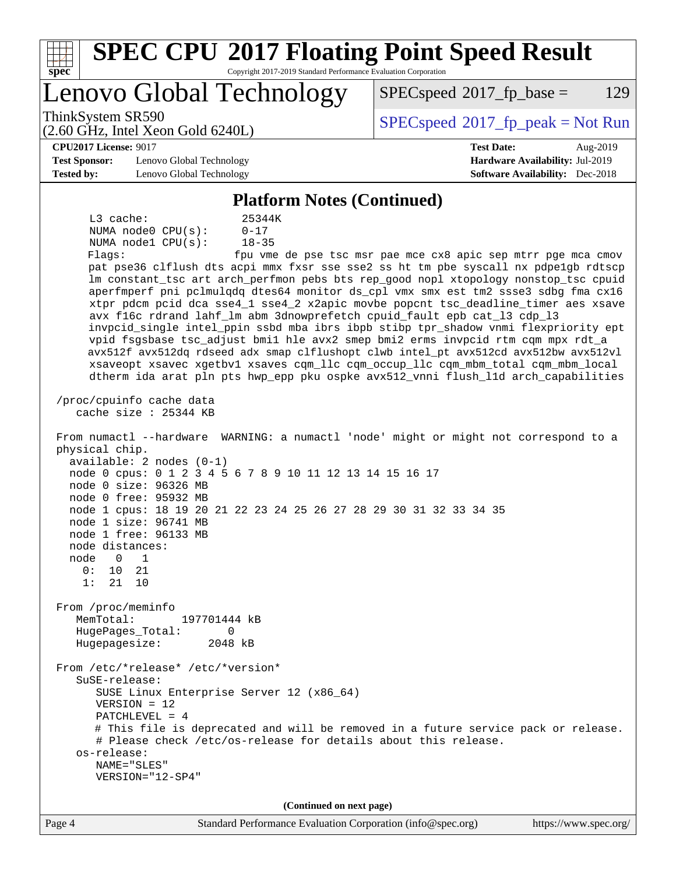| <b>SPEC CPU®2017 Floating Point Speed Result</b><br>Spec<br>Copyright 2017-2019 Standard Performance Evaluation Corporation                                                                                                                                                                                                                                                                                                                                                                                                                                                                                                                                                                                                                                                                                                                                                                                                                                                                                                                                                                                                                                                                                                                                                                                                                                                                                                                                                                                                                                                                                                                                                                                                                                                                                                                                                                                                                                                 |                                                               |
|-----------------------------------------------------------------------------------------------------------------------------------------------------------------------------------------------------------------------------------------------------------------------------------------------------------------------------------------------------------------------------------------------------------------------------------------------------------------------------------------------------------------------------------------------------------------------------------------------------------------------------------------------------------------------------------------------------------------------------------------------------------------------------------------------------------------------------------------------------------------------------------------------------------------------------------------------------------------------------------------------------------------------------------------------------------------------------------------------------------------------------------------------------------------------------------------------------------------------------------------------------------------------------------------------------------------------------------------------------------------------------------------------------------------------------------------------------------------------------------------------------------------------------------------------------------------------------------------------------------------------------------------------------------------------------------------------------------------------------------------------------------------------------------------------------------------------------------------------------------------------------------------------------------------------------------------------------------------------------|---------------------------------------------------------------|
| Lenovo Global Technology                                                                                                                                                                                                                                                                                                                                                                                                                                                                                                                                                                                                                                                                                                                                                                                                                                                                                                                                                                                                                                                                                                                                                                                                                                                                                                                                                                                                                                                                                                                                                                                                                                                                                                                                                                                                                                                                                                                                                    | 129<br>$SPEC speed^{\circ}2017$ _fp_base =                    |
| ThinkSystem SR590<br>$(2.60 \text{ GHz}, \text{Intel Xeon Gold } 6240L)$                                                                                                                                                                                                                                                                                                                                                                                                                                                                                                                                                                                                                                                                                                                                                                                                                                                                                                                                                                                                                                                                                                                                                                                                                                                                                                                                                                                                                                                                                                                                                                                                                                                                                                                                                                                                                                                                                                    | $SPEC speed^{\circ}2017\_fp\_peak = Not Run$                  |
| <b>CPU2017 License: 9017</b>                                                                                                                                                                                                                                                                                                                                                                                                                                                                                                                                                                                                                                                                                                                                                                                                                                                                                                                                                                                                                                                                                                                                                                                                                                                                                                                                                                                                                                                                                                                                                                                                                                                                                                                                                                                                                                                                                                                                                | <b>Test Date:</b><br>Aug-2019                                 |
| <b>Test Sponsor:</b><br>Lenovo Global Technology                                                                                                                                                                                                                                                                                                                                                                                                                                                                                                                                                                                                                                                                                                                                                                                                                                                                                                                                                                                                                                                                                                                                                                                                                                                                                                                                                                                                                                                                                                                                                                                                                                                                                                                                                                                                                                                                                                                            | Hardware Availability: Jul-2019                               |
| <b>Tested by:</b><br>Lenovo Global Technology                                                                                                                                                                                                                                                                                                                                                                                                                                                                                                                                                                                                                                                                                                                                                                                                                                                                                                                                                                                                                                                                                                                                                                                                                                                                                                                                                                                                                                                                                                                                                                                                                                                                                                                                                                                                                                                                                                                               | <b>Software Availability:</b> Dec-2018                        |
| <b>Platform Notes (Continued)</b>                                                                                                                                                                                                                                                                                                                                                                                                                                                                                                                                                                                                                                                                                                                                                                                                                                                                                                                                                                                                                                                                                                                                                                                                                                                                                                                                                                                                                                                                                                                                                                                                                                                                                                                                                                                                                                                                                                                                           |                                                               |
| $L3$ cache:<br>25344K<br>NUMA node0 CPU(s):<br>$0 - 17$<br>NUMA nodel CPU(s):<br>$18 - 35$<br>Flags:<br>pat pse36 clflush dts acpi mmx fxsr sse sse2 ss ht tm pbe syscall nx pdpelgb rdtscp<br>lm constant_tsc art arch_perfmon pebs bts rep_good nopl xtopology nonstop_tsc cpuid<br>aperfmperf pni pclmulqdq dtes64 monitor ds_cpl vmx smx est tm2 ssse3 sdbg fma cx16<br>xtpr pdcm pcid dca sse4_1 sse4_2 x2apic movbe popcnt tsc_deadline_timer aes xsave<br>avx f16c rdrand lahf_lm abm 3dnowprefetch cpuid_fault epb cat_13 cdp_13<br>invpcid_single intel_ppin ssbd mba ibrs ibpb stibp tpr_shadow vnmi flexpriority ept<br>vpid fsgsbase tsc_adjust bmil hle avx2 smep bmi2 erms invpcid rtm cqm mpx rdt_a<br>avx512f avx512dq rdseed adx smap clflushopt clwb intel_pt avx512cd avx512bw avx512vl<br>xsaveopt xsavec xgetbvl xsaves cqm_llc cqm_occup_llc cqm_mbm_total cqm_mbm_local<br>dtherm ida arat pln pts hwp_epp pku ospke avx512_vnni flush_lld arch_capabilities<br>/proc/cpuinfo cache data<br>cache size : 25344 KB<br>From numactl --hardware WARNING: a numactl 'node' might or might not correspond to a<br>physical chip.<br>$available: 2 nodes (0-1)$<br>node 0 cpus: 0 1 2 3 4 5 6 7 8 9 10 11 12 13 14 15 16 17<br>node 0 size: 96326 MB<br>node 0 free: 95932 MB<br>node 1 cpus: 18 19 20 21 22 23 24 25 26 27 28 29 30 31 32 33 34 35<br>node 1 size: 96741 MB<br>node 1 free: 96133 MB<br>node distances:<br>node<br>$\overline{0}$<br>1<br>0 :<br>10<br>21<br>1:<br>21<br>10<br>From /proc/meminfo<br>MemTotal:<br>197701444 kB<br>HugePages_Total:<br>0<br>Hugepagesize:<br>2048 kB<br>From /etc/*release* /etc/*version*<br>$S$ uSE-release:<br>SUSE Linux Enterprise Server 12 (x86_64)<br>$VERSION = 12$<br>PATCHLEVEL = $4$<br># This file is deprecated and will be removed in a future service pack or release.<br># Please check /etc/os-release for details about this release.<br>os-release:<br>NAME="SLES"<br>VERSION="12-SP4" | fpu vme de pse tsc msr pae mce cx8 apic sep mtrr pge mca cmov |
| (Continued on next page)                                                                                                                                                                                                                                                                                                                                                                                                                                                                                                                                                                                                                                                                                                                                                                                                                                                                                                                                                                                                                                                                                                                                                                                                                                                                                                                                                                                                                                                                                                                                                                                                                                                                                                                                                                                                                                                                                                                                                    |                                                               |
| Standard Darformange Evaluation Corporation (info@spee.org)<br>$\Gamma$ <sub>0.00</sub> $\Lambda$                                                                                                                                                                                                                                                                                                                                                                                                                                                                                                                                                                                                                                                                                                                                                                                                                                                                                                                                                                                                                                                                                                                                                                                                                                                                                                                                                                                                                                                                                                                                                                                                                                                                                                                                                                                                                                                                           | http://www.000000                                             |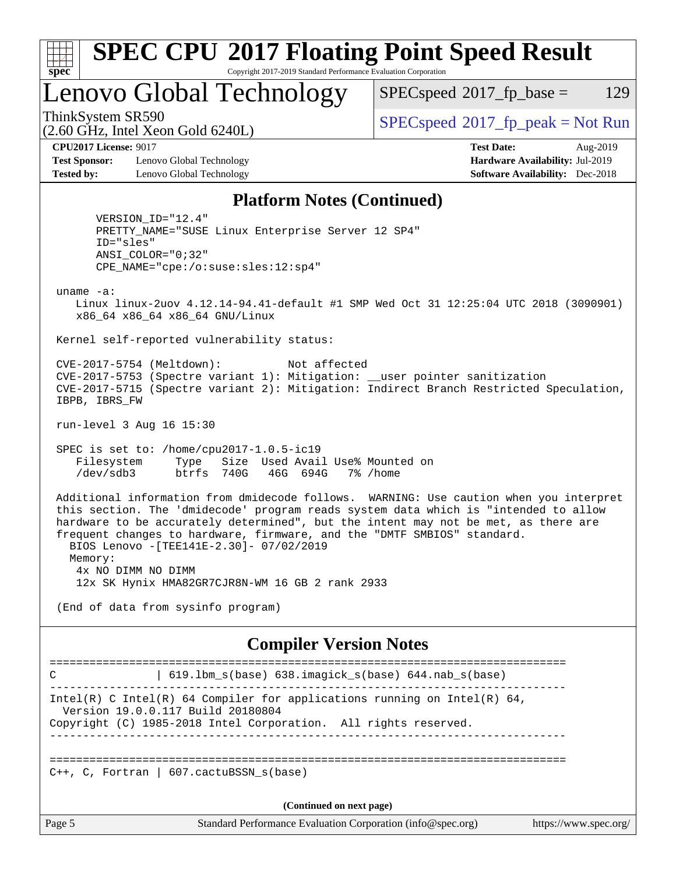

# **[SPEC CPU](http://www.spec.org/auto/cpu2017/Docs/result-fields.html#SPECCPU2017FloatingPointSpeedResult)[2017 Floating Point Speed Result](http://www.spec.org/auto/cpu2017/Docs/result-fields.html#SPECCPU2017FloatingPointSpeedResult)**

Copyright 2017-2019 Standard Performance Evaluation Corporation

Lenovo Global Technology

 $SPECspeed^{\circledcirc}2017_fp\_base = 129$  $SPECspeed^{\circledcirc}2017_fp\_base = 129$ 

(2.60 GHz, Intel Xeon Gold 6240L)

ThinkSystem SR590<br>  $SPECspeed*2017_fp\_peak = Not Run$  $SPECspeed*2017_fp\_peak = Not Run$ 

**[Test Sponsor:](http://www.spec.org/auto/cpu2017/Docs/result-fields.html#TestSponsor)** Lenovo Global Technology **[Hardware Availability:](http://www.spec.org/auto/cpu2017/Docs/result-fields.html#HardwareAvailability)** Jul-2019 **[Tested by:](http://www.spec.org/auto/cpu2017/Docs/result-fields.html#Testedby)** Lenovo Global Technology **[Software Availability:](http://www.spec.org/auto/cpu2017/Docs/result-fields.html#SoftwareAvailability)** Dec-2018

**[CPU2017 License:](http://www.spec.org/auto/cpu2017/Docs/result-fields.html#CPU2017License)** 9017 **[Test Date:](http://www.spec.org/auto/cpu2017/Docs/result-fields.html#TestDate)** Aug-2019

#### **[Platform Notes \(Continued\)](http://www.spec.org/auto/cpu2017/Docs/result-fields.html#PlatformNotes)**

 VERSION\_ID="12.4" PRETTY\_NAME="SUSE Linux Enterprise Server 12 SP4" ID="sles" ANSI\_COLOR="0;32" CPE\_NAME="cpe:/o:suse:sles:12:sp4"

uname -a:

 Linux linux-2uov 4.12.14-94.41-default #1 SMP Wed Oct 31 12:25:04 UTC 2018 (3090901) x86\_64 x86\_64 x86\_64 GNU/Linux

Kernel self-reported vulnerability status:

 CVE-2017-5754 (Meltdown): Not affected CVE-2017-5753 (Spectre variant 1): Mitigation: \_\_user pointer sanitization CVE-2017-5715 (Spectre variant 2): Mitigation: Indirect Branch Restricted Speculation, IBPB, IBRS\_FW

run-level 3 Aug 16 15:30

 SPEC is set to: /home/cpu2017-1.0.5-ic19 Filesystem Type Size Used Avail Use% Mounted on /dev/sdb3 btrfs 740G 46G 694G 7% /home

 Additional information from dmidecode follows. WARNING: Use caution when you interpret this section. The 'dmidecode' program reads system data which is "intended to allow hardware to be accurately determined", but the intent may not be met, as there are frequent changes to hardware, firmware, and the "DMTF SMBIOS" standard. BIOS Lenovo -[TEE141E-2.30]- 07/02/2019 Memory: 4x NO DIMM NO DIMM 12x SK Hynix HMA82GR7CJR8N-WM 16 GB 2 rank 2933

(End of data from sysinfo program)

#### **[Compiler Version Notes](http://www.spec.org/auto/cpu2017/Docs/result-fields.html#CompilerVersionNotes)**

============================================================================== C | 619.lbm\_s(base) 638.imagick\_s(base) 644.nab\_s(base) ------------------------------------------------------------------------------ Intel(R) C Intel(R) 64 Compiler for applications running on Intel(R)  $64$ , Version 19.0.0.117 Build 20180804 Copyright (C) 1985-2018 Intel Corporation. All rights reserved. ------------------------------------------------------------------------------ ==============================================================================  $C_{++}$ , C, Fortran | 607.cactuBSSN s(base) **(Continued on next page)**

Page 5 Standard Performance Evaluation Corporation [\(info@spec.org\)](mailto:info@spec.org) <https://www.spec.org/>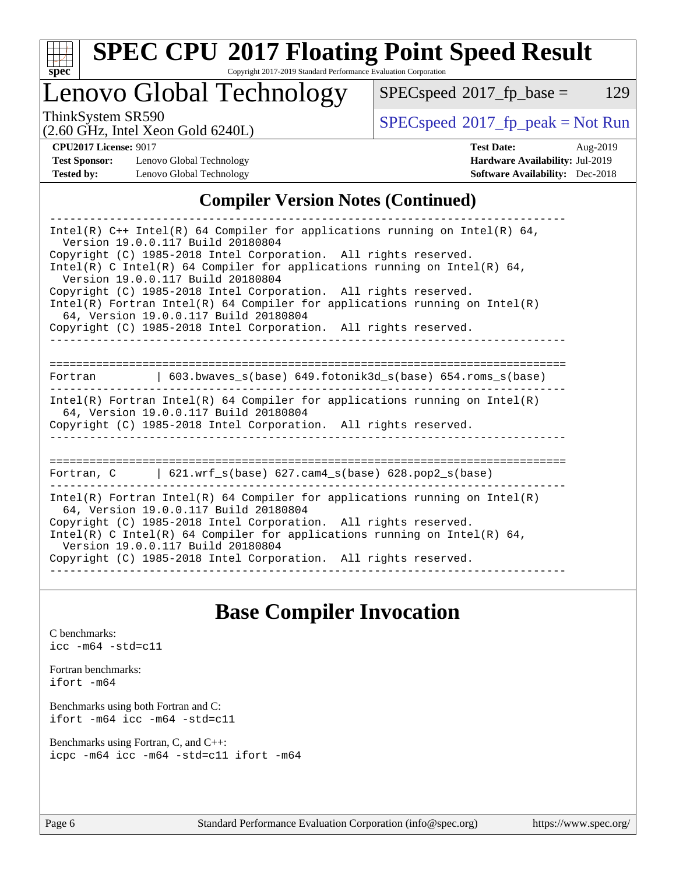

# **[SPEC CPU](http://www.spec.org/auto/cpu2017/Docs/result-fields.html#SPECCPU2017FloatingPointSpeedResult)[2017 Floating Point Speed Result](http://www.spec.org/auto/cpu2017/Docs/result-fields.html#SPECCPU2017FloatingPointSpeedResult)**

Copyright 2017-2019 Standard Performance Evaluation Corporation

Lenovo Global Technology

 $SPECspeed*2017_fp\_base = 129$  $SPECspeed*2017_fp\_base = 129$ 

ThinkSystem SR590<br>  $(2.60 \text{ GHz}_{\text{1}} \text{ Intel } \text{Yoon} \text{ Gold } 62401)$  [SPECspeed](http://www.spec.org/auto/cpu2017/Docs/result-fields.html#SPECspeed2017fppeak)®[2017\\_fp\\_peak = N](http://www.spec.org/auto/cpu2017/Docs/result-fields.html#SPECspeed2017fppeak)ot Run

**[Test Sponsor:](http://www.spec.org/auto/cpu2017/Docs/result-fields.html#TestSponsor)** Lenovo Global Technology **[Hardware Availability:](http://www.spec.org/auto/cpu2017/Docs/result-fields.html#HardwareAvailability)** Jul-2019 **[Tested by:](http://www.spec.org/auto/cpu2017/Docs/result-fields.html#Testedby)** Lenovo Global Technology **[Software Availability:](http://www.spec.org/auto/cpu2017/Docs/result-fields.html#SoftwareAvailability)** Dec-2018

(2.60 GHz, Intel Xeon Gold 6240L)

**[CPU2017 License:](http://www.spec.org/auto/cpu2017/Docs/result-fields.html#CPU2017License)** 9017 **[Test Date:](http://www.spec.org/auto/cpu2017/Docs/result-fields.html#TestDate)** Aug-2019

#### **[Compiler Version Notes \(Continued\)](http://www.spec.org/auto/cpu2017/Docs/result-fields.html#CompilerVersionNotes)**

| Intel(R) $C++$ Intel(R) 64 Compiler for applications running on Intel(R) 64,<br>Version 19.0.0.117 Build 20180804                                                                      |  |  |  |  |  |  |
|----------------------------------------------------------------------------------------------------------------------------------------------------------------------------------------|--|--|--|--|--|--|
| Copyright (C) 1985-2018 Intel Corporation. All rights reserved.<br>Intel(R) C Intel(R) 64 Compiler for applications running on Intel(R) 64,<br>Version 19.0.0.117 Build 20180804       |  |  |  |  |  |  |
| Copyright (C) 1985-2018 Intel Corporation. All rights reserved.<br>Intel(R) Fortran Intel(R) 64 Compiler for applications running on Intel(R)                                          |  |  |  |  |  |  |
| 64. Version 19.0.0.117 Build 20180804<br>Copyright (C) 1985-2018 Intel Corporation. All rights reserved.                                                                               |  |  |  |  |  |  |
|                                                                                                                                                                                        |  |  |  |  |  |  |
| Fortran (603.bwaves s(base) 649.fotonik3d s(base) 654.roms s(base)                                                                                                                     |  |  |  |  |  |  |
| Intel(R) Fortran Intel(R) 64 Compiler for applications running on Intel(R)<br>64, Version 19.0.0.117 Build 20180804<br>Copyright (C) 1985-2018 Intel Corporation. All rights reserved. |  |  |  |  |  |  |
|                                                                                                                                                                                        |  |  |  |  |  |  |
| Fortran, $C = \{621. \text{wrf s}(\text{base}) \}$ 627. cam4 s(base) 628. pop2 s(base)                                                                                                 |  |  |  |  |  |  |
| Intel(R) Fortran Intel(R) 64 Compiler for applications running on Intel(R)<br>64, Version 19.0.0.117 Build 20180804                                                                    |  |  |  |  |  |  |
| Copyright (C) 1985-2018 Intel Corporation. All rights reserved.<br>Intel(R) C Intel(R) 64 Compiler for applications running on Intel(R) 64,<br>Version 19.0.0.117 Build 20180804       |  |  |  |  |  |  |
| Copyright (C) 1985-2018 Intel Corporation. All rights reserved.                                                                                                                        |  |  |  |  |  |  |

## **[Base Compiler Invocation](http://www.spec.org/auto/cpu2017/Docs/result-fields.html#BaseCompilerInvocation)**

[C benchmarks](http://www.spec.org/auto/cpu2017/Docs/result-fields.html#Cbenchmarks): [icc -m64 -std=c11](http://www.spec.org/cpu2017/results/res2019q3/cpu2017-20190819-16987.flags.html#user_CCbase_intel_icc_64bit_c11_33ee0cdaae7deeeab2a9725423ba97205ce30f63b9926c2519791662299b76a0318f32ddfffdc46587804de3178b4f9328c46fa7c2b0cd779d7a61945c91cd35)

[Fortran benchmarks](http://www.spec.org/auto/cpu2017/Docs/result-fields.html#Fortranbenchmarks): [ifort -m64](http://www.spec.org/cpu2017/results/res2019q3/cpu2017-20190819-16987.flags.html#user_FCbase_intel_ifort_64bit_24f2bb282fbaeffd6157abe4f878425411749daecae9a33200eee2bee2fe76f3b89351d69a8130dd5949958ce389cf37ff59a95e7a40d588e8d3a57e0c3fd751)

[Benchmarks using both Fortran and C](http://www.spec.org/auto/cpu2017/Docs/result-fields.html#BenchmarksusingbothFortranandC): [ifort -m64](http://www.spec.org/cpu2017/results/res2019q3/cpu2017-20190819-16987.flags.html#user_CC_FCbase_intel_ifort_64bit_24f2bb282fbaeffd6157abe4f878425411749daecae9a33200eee2bee2fe76f3b89351d69a8130dd5949958ce389cf37ff59a95e7a40d588e8d3a57e0c3fd751) [icc -m64 -std=c11](http://www.spec.org/cpu2017/results/res2019q3/cpu2017-20190819-16987.flags.html#user_CC_FCbase_intel_icc_64bit_c11_33ee0cdaae7deeeab2a9725423ba97205ce30f63b9926c2519791662299b76a0318f32ddfffdc46587804de3178b4f9328c46fa7c2b0cd779d7a61945c91cd35)

[Benchmarks using Fortran, C, and C++:](http://www.spec.org/auto/cpu2017/Docs/result-fields.html#BenchmarksusingFortranCandCXX) [icpc -m64](http://www.spec.org/cpu2017/results/res2019q3/cpu2017-20190819-16987.flags.html#user_CC_CXX_FCbase_intel_icpc_64bit_4ecb2543ae3f1412ef961e0650ca070fec7b7afdcd6ed48761b84423119d1bf6bdf5cad15b44d48e7256388bc77273b966e5eb805aefd121eb22e9299b2ec9d9) [icc -m64 -std=c11](http://www.spec.org/cpu2017/results/res2019q3/cpu2017-20190819-16987.flags.html#user_CC_CXX_FCbase_intel_icc_64bit_c11_33ee0cdaae7deeeab2a9725423ba97205ce30f63b9926c2519791662299b76a0318f32ddfffdc46587804de3178b4f9328c46fa7c2b0cd779d7a61945c91cd35) [ifort -m64](http://www.spec.org/cpu2017/results/res2019q3/cpu2017-20190819-16987.flags.html#user_CC_CXX_FCbase_intel_ifort_64bit_24f2bb282fbaeffd6157abe4f878425411749daecae9a33200eee2bee2fe76f3b89351d69a8130dd5949958ce389cf37ff59a95e7a40d588e8d3a57e0c3fd751)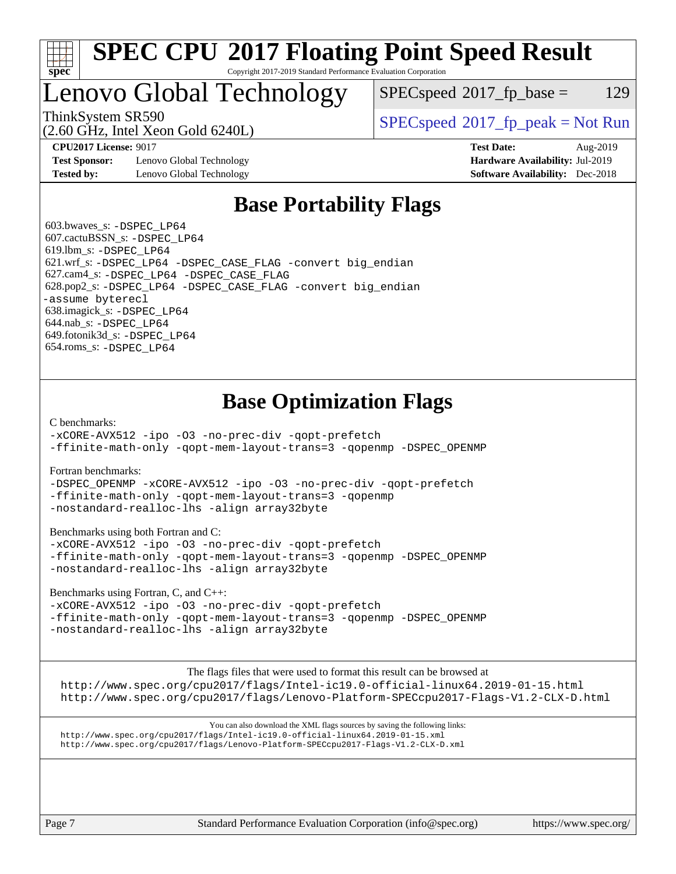

#### **[SPEC CPU](http://www.spec.org/auto/cpu2017/Docs/result-fields.html#SPECCPU2017FloatingPointSpeedResult)[2017 Floating Point Speed Result](http://www.spec.org/auto/cpu2017/Docs/result-fields.html#SPECCPU2017FloatingPointSpeedResult)** Copyright 2017-2019 Standard Performance Evaluation Corporation

# Lenovo Global Technology

 $SPEC speed^{\circ}2017\_fp\_base = 129$ 

(2.60 GHz, Intel Xeon Gold 6240L)

ThinkSystem SR590<br>  $SPECspeed*2017_fp\_peak = Not Run$  $SPECspeed*2017_fp\_peak = Not Run$ 

**[Test Sponsor:](http://www.spec.org/auto/cpu2017/Docs/result-fields.html#TestSponsor)** Lenovo Global Technology **[Hardware Availability:](http://www.spec.org/auto/cpu2017/Docs/result-fields.html#HardwareAvailability)** Jul-2019 **[Tested by:](http://www.spec.org/auto/cpu2017/Docs/result-fields.html#Testedby)** Lenovo Global Technology **[Software Availability:](http://www.spec.org/auto/cpu2017/Docs/result-fields.html#SoftwareAvailability)** Dec-2018

**[CPU2017 License:](http://www.spec.org/auto/cpu2017/Docs/result-fields.html#CPU2017License)** 9017 **[Test Date:](http://www.spec.org/auto/cpu2017/Docs/result-fields.html#TestDate)** Aug-2019

## **[Base Portability Flags](http://www.spec.org/auto/cpu2017/Docs/result-fields.html#BasePortabilityFlags)**

 603.bwaves\_s: [-DSPEC\\_LP64](http://www.spec.org/cpu2017/results/res2019q3/cpu2017-20190819-16987.flags.html#suite_basePORTABILITY603_bwaves_s_DSPEC_LP64) 607.cactuBSSN\_s: [-DSPEC\\_LP64](http://www.spec.org/cpu2017/results/res2019q3/cpu2017-20190819-16987.flags.html#suite_basePORTABILITY607_cactuBSSN_s_DSPEC_LP64) 619.lbm\_s: [-DSPEC\\_LP64](http://www.spec.org/cpu2017/results/res2019q3/cpu2017-20190819-16987.flags.html#suite_basePORTABILITY619_lbm_s_DSPEC_LP64) 621.wrf\_s: [-DSPEC\\_LP64](http://www.spec.org/cpu2017/results/res2019q3/cpu2017-20190819-16987.flags.html#suite_basePORTABILITY621_wrf_s_DSPEC_LP64) [-DSPEC\\_CASE\\_FLAG](http://www.spec.org/cpu2017/results/res2019q3/cpu2017-20190819-16987.flags.html#b621.wrf_s_baseCPORTABILITY_DSPEC_CASE_FLAG) [-convert big\\_endian](http://www.spec.org/cpu2017/results/res2019q3/cpu2017-20190819-16987.flags.html#user_baseFPORTABILITY621_wrf_s_convert_big_endian_c3194028bc08c63ac5d04de18c48ce6d347e4e562e8892b8bdbdc0214820426deb8554edfa529a3fb25a586e65a3d812c835984020483e7e73212c4d31a38223) 627.cam4\_s: [-DSPEC\\_LP64](http://www.spec.org/cpu2017/results/res2019q3/cpu2017-20190819-16987.flags.html#suite_basePORTABILITY627_cam4_s_DSPEC_LP64) [-DSPEC\\_CASE\\_FLAG](http://www.spec.org/cpu2017/results/res2019q3/cpu2017-20190819-16987.flags.html#b627.cam4_s_baseCPORTABILITY_DSPEC_CASE_FLAG) 628.pop2\_s: [-DSPEC\\_LP64](http://www.spec.org/cpu2017/results/res2019q3/cpu2017-20190819-16987.flags.html#suite_basePORTABILITY628_pop2_s_DSPEC_LP64) [-DSPEC\\_CASE\\_FLAG](http://www.spec.org/cpu2017/results/res2019q3/cpu2017-20190819-16987.flags.html#b628.pop2_s_baseCPORTABILITY_DSPEC_CASE_FLAG) [-convert big\\_endian](http://www.spec.org/cpu2017/results/res2019q3/cpu2017-20190819-16987.flags.html#user_baseFPORTABILITY628_pop2_s_convert_big_endian_c3194028bc08c63ac5d04de18c48ce6d347e4e562e8892b8bdbdc0214820426deb8554edfa529a3fb25a586e65a3d812c835984020483e7e73212c4d31a38223) [-assume byterecl](http://www.spec.org/cpu2017/results/res2019q3/cpu2017-20190819-16987.flags.html#user_baseFPORTABILITY628_pop2_s_assume_byterecl_7e47d18b9513cf18525430bbf0f2177aa9bf368bc7a059c09b2c06a34b53bd3447c950d3f8d6c70e3faf3a05c8557d66a5798b567902e8849adc142926523472) 638.imagick\_s: [-DSPEC\\_LP64](http://www.spec.org/cpu2017/results/res2019q3/cpu2017-20190819-16987.flags.html#suite_basePORTABILITY638_imagick_s_DSPEC_LP64) 644.nab\_s: [-DSPEC\\_LP64](http://www.spec.org/cpu2017/results/res2019q3/cpu2017-20190819-16987.flags.html#suite_basePORTABILITY644_nab_s_DSPEC_LP64) 649.fotonik3d\_s: [-DSPEC\\_LP64](http://www.spec.org/cpu2017/results/res2019q3/cpu2017-20190819-16987.flags.html#suite_basePORTABILITY649_fotonik3d_s_DSPEC_LP64) 654.roms\_s: [-DSPEC\\_LP64](http://www.spec.org/cpu2017/results/res2019q3/cpu2017-20190819-16987.flags.html#suite_basePORTABILITY654_roms_s_DSPEC_LP64)

# **[Base Optimization Flags](http://www.spec.org/auto/cpu2017/Docs/result-fields.html#BaseOptimizationFlags)**

[C benchmarks](http://www.spec.org/auto/cpu2017/Docs/result-fields.html#Cbenchmarks):

[-xCORE-AVX512](http://www.spec.org/cpu2017/results/res2019q3/cpu2017-20190819-16987.flags.html#user_CCbase_f-xCORE-AVX512) [-ipo](http://www.spec.org/cpu2017/results/res2019q3/cpu2017-20190819-16987.flags.html#user_CCbase_f-ipo) [-O3](http://www.spec.org/cpu2017/results/res2019q3/cpu2017-20190819-16987.flags.html#user_CCbase_f-O3) [-no-prec-div](http://www.spec.org/cpu2017/results/res2019q3/cpu2017-20190819-16987.flags.html#user_CCbase_f-no-prec-div) [-qopt-prefetch](http://www.spec.org/cpu2017/results/res2019q3/cpu2017-20190819-16987.flags.html#user_CCbase_f-qopt-prefetch) [-ffinite-math-only](http://www.spec.org/cpu2017/results/res2019q3/cpu2017-20190819-16987.flags.html#user_CCbase_f_finite_math_only_cb91587bd2077682c4b38af759c288ed7c732db004271a9512da14a4f8007909a5f1427ecbf1a0fb78ff2a814402c6114ac565ca162485bbcae155b5e4258871) [-qopt-mem-layout-trans=3](http://www.spec.org/cpu2017/results/res2019q3/cpu2017-20190819-16987.flags.html#user_CCbase_f-qopt-mem-layout-trans_de80db37974c74b1f0e20d883f0b675c88c3b01e9d123adea9b28688d64333345fb62bc4a798493513fdb68f60282f9a726aa07f478b2f7113531aecce732043) [-qopenmp](http://www.spec.org/cpu2017/results/res2019q3/cpu2017-20190819-16987.flags.html#user_CCbase_qopenmp_16be0c44f24f464004c6784a7acb94aca937f053568ce72f94b139a11c7c168634a55f6653758ddd83bcf7b8463e8028bb0b48b77bcddc6b78d5d95bb1df2967) [-DSPEC\\_OPENMP](http://www.spec.org/cpu2017/results/res2019q3/cpu2017-20190819-16987.flags.html#suite_CCbase_DSPEC_OPENMP)

[Fortran benchmarks](http://www.spec.org/auto/cpu2017/Docs/result-fields.html#Fortranbenchmarks):

[-DSPEC\\_OPENMP](http://www.spec.org/cpu2017/results/res2019q3/cpu2017-20190819-16987.flags.html#suite_FCbase_DSPEC_OPENMP) [-xCORE-AVX512](http://www.spec.org/cpu2017/results/res2019q3/cpu2017-20190819-16987.flags.html#user_FCbase_f-xCORE-AVX512) [-ipo](http://www.spec.org/cpu2017/results/res2019q3/cpu2017-20190819-16987.flags.html#user_FCbase_f-ipo) [-O3](http://www.spec.org/cpu2017/results/res2019q3/cpu2017-20190819-16987.flags.html#user_FCbase_f-O3) [-no-prec-div](http://www.spec.org/cpu2017/results/res2019q3/cpu2017-20190819-16987.flags.html#user_FCbase_f-no-prec-div) [-qopt-prefetch](http://www.spec.org/cpu2017/results/res2019q3/cpu2017-20190819-16987.flags.html#user_FCbase_f-qopt-prefetch) [-ffinite-math-only](http://www.spec.org/cpu2017/results/res2019q3/cpu2017-20190819-16987.flags.html#user_FCbase_f_finite_math_only_cb91587bd2077682c4b38af759c288ed7c732db004271a9512da14a4f8007909a5f1427ecbf1a0fb78ff2a814402c6114ac565ca162485bbcae155b5e4258871) [-qopt-mem-layout-trans=3](http://www.spec.org/cpu2017/results/res2019q3/cpu2017-20190819-16987.flags.html#user_FCbase_f-qopt-mem-layout-trans_de80db37974c74b1f0e20d883f0b675c88c3b01e9d123adea9b28688d64333345fb62bc4a798493513fdb68f60282f9a726aa07f478b2f7113531aecce732043) [-qopenmp](http://www.spec.org/cpu2017/results/res2019q3/cpu2017-20190819-16987.flags.html#user_FCbase_qopenmp_16be0c44f24f464004c6784a7acb94aca937f053568ce72f94b139a11c7c168634a55f6653758ddd83bcf7b8463e8028bb0b48b77bcddc6b78d5d95bb1df2967) [-nostandard-realloc-lhs](http://www.spec.org/cpu2017/results/res2019q3/cpu2017-20190819-16987.flags.html#user_FCbase_f_2003_std_realloc_82b4557e90729c0f113870c07e44d33d6f5a304b4f63d4c15d2d0f1fab99f5daaed73bdb9275d9ae411527f28b936061aa8b9c8f2d63842963b95c9dd6426b8a) [-align array32byte](http://www.spec.org/cpu2017/results/res2019q3/cpu2017-20190819-16987.flags.html#user_FCbase_align_array32byte_b982fe038af199962ba9a80c053b8342c548c85b40b8e86eb3cc33dee0d7986a4af373ac2d51c3f7cf710a18d62fdce2948f201cd044323541f22fc0fffc51b6)

[Benchmarks using both Fortran and C](http://www.spec.org/auto/cpu2017/Docs/result-fields.html#BenchmarksusingbothFortranandC):

[-xCORE-AVX512](http://www.spec.org/cpu2017/results/res2019q3/cpu2017-20190819-16987.flags.html#user_CC_FCbase_f-xCORE-AVX512) [-ipo](http://www.spec.org/cpu2017/results/res2019q3/cpu2017-20190819-16987.flags.html#user_CC_FCbase_f-ipo) [-O3](http://www.spec.org/cpu2017/results/res2019q3/cpu2017-20190819-16987.flags.html#user_CC_FCbase_f-O3) [-no-prec-div](http://www.spec.org/cpu2017/results/res2019q3/cpu2017-20190819-16987.flags.html#user_CC_FCbase_f-no-prec-div) [-qopt-prefetch](http://www.spec.org/cpu2017/results/res2019q3/cpu2017-20190819-16987.flags.html#user_CC_FCbase_f-qopt-prefetch) [-ffinite-math-only](http://www.spec.org/cpu2017/results/res2019q3/cpu2017-20190819-16987.flags.html#user_CC_FCbase_f_finite_math_only_cb91587bd2077682c4b38af759c288ed7c732db004271a9512da14a4f8007909a5f1427ecbf1a0fb78ff2a814402c6114ac565ca162485bbcae155b5e4258871) [-qopt-mem-layout-trans=3](http://www.spec.org/cpu2017/results/res2019q3/cpu2017-20190819-16987.flags.html#user_CC_FCbase_f-qopt-mem-layout-trans_de80db37974c74b1f0e20d883f0b675c88c3b01e9d123adea9b28688d64333345fb62bc4a798493513fdb68f60282f9a726aa07f478b2f7113531aecce732043) [-qopenmp](http://www.spec.org/cpu2017/results/res2019q3/cpu2017-20190819-16987.flags.html#user_CC_FCbase_qopenmp_16be0c44f24f464004c6784a7acb94aca937f053568ce72f94b139a11c7c168634a55f6653758ddd83bcf7b8463e8028bb0b48b77bcddc6b78d5d95bb1df2967) [-DSPEC\\_OPENMP](http://www.spec.org/cpu2017/results/res2019q3/cpu2017-20190819-16987.flags.html#suite_CC_FCbase_DSPEC_OPENMP) [-nostandard-realloc-lhs](http://www.spec.org/cpu2017/results/res2019q3/cpu2017-20190819-16987.flags.html#user_CC_FCbase_f_2003_std_realloc_82b4557e90729c0f113870c07e44d33d6f5a304b4f63d4c15d2d0f1fab99f5daaed73bdb9275d9ae411527f28b936061aa8b9c8f2d63842963b95c9dd6426b8a) [-align array32byte](http://www.spec.org/cpu2017/results/res2019q3/cpu2017-20190819-16987.flags.html#user_CC_FCbase_align_array32byte_b982fe038af199962ba9a80c053b8342c548c85b40b8e86eb3cc33dee0d7986a4af373ac2d51c3f7cf710a18d62fdce2948f201cd044323541f22fc0fffc51b6)

[Benchmarks using Fortran, C, and C++:](http://www.spec.org/auto/cpu2017/Docs/result-fields.html#BenchmarksusingFortranCandCXX)

[-xCORE-AVX512](http://www.spec.org/cpu2017/results/res2019q3/cpu2017-20190819-16987.flags.html#user_CC_CXX_FCbase_f-xCORE-AVX512) [-ipo](http://www.spec.org/cpu2017/results/res2019q3/cpu2017-20190819-16987.flags.html#user_CC_CXX_FCbase_f-ipo) [-O3](http://www.spec.org/cpu2017/results/res2019q3/cpu2017-20190819-16987.flags.html#user_CC_CXX_FCbase_f-O3) [-no-prec-div](http://www.spec.org/cpu2017/results/res2019q3/cpu2017-20190819-16987.flags.html#user_CC_CXX_FCbase_f-no-prec-div) [-qopt-prefetch](http://www.spec.org/cpu2017/results/res2019q3/cpu2017-20190819-16987.flags.html#user_CC_CXX_FCbase_f-qopt-prefetch) [-ffinite-math-only](http://www.spec.org/cpu2017/results/res2019q3/cpu2017-20190819-16987.flags.html#user_CC_CXX_FCbase_f_finite_math_only_cb91587bd2077682c4b38af759c288ed7c732db004271a9512da14a4f8007909a5f1427ecbf1a0fb78ff2a814402c6114ac565ca162485bbcae155b5e4258871) [-qopt-mem-layout-trans=3](http://www.spec.org/cpu2017/results/res2019q3/cpu2017-20190819-16987.flags.html#user_CC_CXX_FCbase_f-qopt-mem-layout-trans_de80db37974c74b1f0e20d883f0b675c88c3b01e9d123adea9b28688d64333345fb62bc4a798493513fdb68f60282f9a726aa07f478b2f7113531aecce732043) [-qopenmp](http://www.spec.org/cpu2017/results/res2019q3/cpu2017-20190819-16987.flags.html#user_CC_CXX_FCbase_qopenmp_16be0c44f24f464004c6784a7acb94aca937f053568ce72f94b139a11c7c168634a55f6653758ddd83bcf7b8463e8028bb0b48b77bcddc6b78d5d95bb1df2967) [-DSPEC\\_OPENMP](http://www.spec.org/cpu2017/results/res2019q3/cpu2017-20190819-16987.flags.html#suite_CC_CXX_FCbase_DSPEC_OPENMP) [-nostandard-realloc-lhs](http://www.spec.org/cpu2017/results/res2019q3/cpu2017-20190819-16987.flags.html#user_CC_CXX_FCbase_f_2003_std_realloc_82b4557e90729c0f113870c07e44d33d6f5a304b4f63d4c15d2d0f1fab99f5daaed73bdb9275d9ae411527f28b936061aa8b9c8f2d63842963b95c9dd6426b8a) [-align array32byte](http://www.spec.org/cpu2017/results/res2019q3/cpu2017-20190819-16987.flags.html#user_CC_CXX_FCbase_align_array32byte_b982fe038af199962ba9a80c053b8342c548c85b40b8e86eb3cc33dee0d7986a4af373ac2d51c3f7cf710a18d62fdce2948f201cd044323541f22fc0fffc51b6)

[The flags files that were used to format this result can be browsed at](tmsearch)

<http://www.spec.org/cpu2017/flags/Intel-ic19.0-official-linux64.2019-01-15.html> <http://www.spec.org/cpu2017/flags/Lenovo-Platform-SPECcpu2017-Flags-V1.2-CLX-D.html>

[You can also download the XML flags sources by saving the following links:](tmsearch) <http://www.spec.org/cpu2017/flags/Intel-ic19.0-official-linux64.2019-01-15.xml> <http://www.spec.org/cpu2017/flags/Lenovo-Platform-SPECcpu2017-Flags-V1.2-CLX-D.xml>